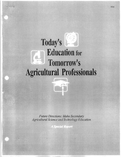# **Today's Education for**  --- **Tomorrow's Agricultural Professionals**

*Future Directions: Idaho Secondary* Agricultural Science and Technology Education

**A Special Report** 

-~-~--~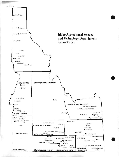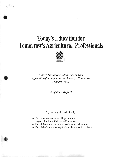# **Today's Education for Tomorrow's Agricultural Professionals**



*Future Directions: Idaho Secondary Agricultural Science and Technology Education October,* 1992

*A Special Report* 

A joint project conducted by:

- The University of Idaho Department of Agricultural and Extension Education
- The Idaho State Division of Vocational Education
- The Idaho Vocational Agriculture Teachers Association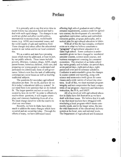# **Preface**

It is generally safe to say that at no time in recent history has education faced and had to deal with such rapid change. The changes in our world are global and affect world politics, international economics/trade, world health issues, (e.g. AIDS) environmental issues, and the world supply of safe and nutritious food. These changes and others affect the educational system in our nation and in our local communities.

We as a nation and state have pressing issues which must be addressed, at least in part, by our public schools. These issues include: poverty, illiteracy, violence, drugs, AIDS, single parent homes, homeless children, child care, and preparing our young people to understand and participate in a democratic form of self-governance. Schools now face the task of addressing contemporary social issues as well as teaching traditional subjects.

The questions for secondary agricultural education are then: Do we fit, and how do we fit in today's educational delivery system? In our mind there is no question that we do indeed fit. The larger question and not so easily answered is, how do we fit? In order to effectively resolve these questions, it will require exemplary and visionary leadership from all of us. We must charge ourselves with the resolve to chart our own future.

Recently, we here in Idaho have done much to address the many changes which have occurred and are occurring today. Through the efforts of many, we have addressed issues

affecting high school graduation and college entrance requirements, science credit for agriculture courses, the development of a secondary agriculture curriculum outline and curriculum resources guides, program philosophy, and a tactical plan for agricultural education in Idaho.

With all of this the fact remains, confusion exists as to what we believe constitutes a **"program"** of agricultural education in an Idaho high school. Some confusion is understandable given we have changed to: numbered semester courses, science credit courses, and business management counting for consumer economics. The structure of an Idaho school day varies greatly and includes: six-period days, seven-period days, eight-period days, eightperiod roll over and tri-semester schedules. Confusion is understandable given the changes in course content and reporting, along with science and economics credit given for some classes and a wide variety of school day structures. In all of this, we must maintain program integrity and not compromise the basic components of our program: classroom and laboratory instruction, the FFA, and SAEP.

•

All of us involved with agricultural education in Idaho have felt frustration as we have dealt with these issues. We believe that it is safe to say that most teachers have struggled with structwing a local program which meets community needs, and in the larger sense, fits into the total framework of the educational delivery system at the local, state and national levels. The Department of Agricultural and Extension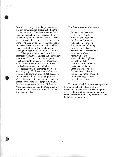Education is charged with the preparation of teachers for agriculture programs both in the present and future. The department needs the dialogue, interaction, and consensus of the profession as it works with the future teachers and plans and delivers their professional course work. The State Division of Vocational Education needs the consensus of all as it provides overall leadership, guidance and direction dealing with approving and funding programs.

This report is an internal look at Idaho secondary Agricultural Science and Technology education. The report describes the present situation and offers specific recommendations for the future direction of Agricultural Science and Technology programs in Idaho.

This report is the combined effort of a selected group of Idaho educators who were charged with taking an internal look at Agricultural Science and Technology programs in Idaho. The committee was endorsed and supported by the Idaho Vocational Agricultural Teachers Association, the State Division of Vocational Education and the Department of Agricultural and Extension Education at the University of Idaho.

#### **The Committee members** were:

Jon Fabricius - Genesee Keith Hyatt - Payette Steve Wilder - Meridian Joe Blackstock - Kuna Alan Schoen - Rimrock Tom Woodland - Gooding Ron Thaemert - Buhl Marc Beitia - American Falls Kent Scott - Malad Mark Pratt - Firth Alan Heikkila - Highland Dave Ross - Teton Don Bird - West Jefferson Craig Clapier - Nampa Stuart Nesbitt - Weiser DeVere Burton - Boise Richard Ledington - Pocatello Lou Riesenberg - Moscow John Mundt - Boise

The report which follows is a composite of their individual and collective effort. It is intended that this report be utilized by: policy makers, administrators, agricultural educators, parents, members of advisory committees, and the industry of agriculture.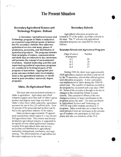# The Present Situation •

4

# Secondary Agricultural Science and Technology Program: Defined

A BOY

A Secondary Agricultural Science and Technology program in Idaho is defined as an organized sequential program of instruction for secondary students that addresses agricultural services and many phases of production, processing, and distribution of agricultural products. The program includes basic principles of science, communications and math that are inherent to the curriculum and promote the concept of environmental awareness. Student leadership activities and supervised agricultural experience programs are considered to be integral parts of the program of instruction. Appropriate program outcomes include entry level employment in the agricultural industry or enrollment in post-secondary /university degree programs.

#### Idaho, An Agricultural State

The basic and most prominent industry in Idaho is agriculture. Agriculture and allied industries supply more than half of Idaho's gross product and employ more than one-third of Idaho's labor force; while nationally, agriculture accounts for one in five (23 million) jobs. Over 20 percent of the gross national product can be tied to the agricultural industry of the nation.

Idaho produces approximately 95 agricultural commodities which makes it a very diversified agricultural state. This intense and diverse production agricultural industry is supported by an equally diverse allied agribusiness industry; ranging from agricultural sales and service, processing and distribution to agricultural marketing, management, mechanics, and engineering. The allied industries of agriculture are the major employers in the state.

### Secondary Schools

Agricultural education programs are located in 77 of the public secondary schools in the state. The 77 schools with agricultural education programs are classified by size as follows:

#### Secondary Schools with Agricultural Programs

| Class of school | Number |
|-----------------|--------|
| of programs     |        |
| $A-1$           | 09     |
| $A-2$           | 18     |
| $A-3$           | 23     |
|                 |        |

During 1985-86, there were approximately 3904 agriculture students enrolled in and served by the 75 secondary schools that offered agricultural education programs. A new curriculum was implemented in Idaho during the 1989-90 school year. The number of students enrolled in the program has increased each year since 1989 90. Some of the increase is thought to be due to changes in the scheduling format in some schools. The cumulative effects of the two changes is evident in larger enrollments in the programs across the state. The total enrollment in Agricultural Science and Technology in 1991-92 was 6,883 students enrolled in 77 programs. Other trends that are evident for the same period of time are decreases in the percentage of students who participate in SAE programs and who are members of the FFA.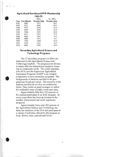#### **Agricultural EnrollmentlFFA Membership 1982-92**

|      |                 | <b>FFA</b> | % FFA      |
|------|-----------------|------------|------------|
|      | Year Enrollment | Membership | Membership |
| 1982 | 4485            | 3952       | 88.1       |
| 1983 | 4531            | 4046       | 89.3       |
| 1984 | 4197            | 3904       | 93.0       |
| 1985 | 4109            | 3840       | 93.4       |
| 1986 | 3904            | 3492       | 89.4       |
| 1987 | 4211            | 3365       | 79.9       |
| 1988 | 4663            | 3465       | 74.3       |
| 1989 | 4880            | 3451       | 70.7       |
| 1990 | 5296            | 3444       | 65.0       |
| 1991 | 5938            | 3225       | 54.3       |
| 1992 | 6883            | 3399       | 49.4       |
|      |                 |            |            |

## **Secondary Agricultural Science and Technology Programs**

The 77 secondary programs in Idaho are instructed by 84 Agricultural Science and Technology teachers. The programs are diverse in nature with the instructional emphasis focusing on community needs. The youth organization (FFA) and the Supervised Agricultural Experience Programs (SAEP's) are integral components in most secondary programs. The backgrounds of students enrolled in the programs are broad and varied. The majority of the students enrolled do not live on commercial farms. They reside on small acreages or within the residential areas of Idaho towns and cities.

Approximately fifty-five (55) percent of the students participate in an SAE program. In recent years there has been an increase in the number of placement and work experience programs.

Approximately forty-nine (49) percent of the Agricultural Science and Technology students are members of the FFA and participate in a variety of activities offered by the program at local, district, state, and national levels.





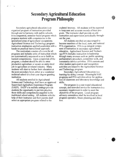# **Secondary Agricultural Education Program Philosophy**

6

Secondary agricultural education is an organized program of instruction provided through and in harmony with public schools. It is a sequential, semester-based program which prepares students with competencies in the specialized areas of agricultural occupations. Agricultural Science and Technology program instruction emphasizes applied academics with a hands-on practical instructional approach.

The curriculum consists of a core for all programs and includes units of instruction which are systematically sequenced so as to build on leamed competencies. Upon completion of the program, a student should be able to enter production agriculture or secure an entry-level job in agriculture or related industry. Many students will elect to further their education at the post-secondary level, either at a vocational technical school or a four-year degree granting institution.

All students enrolled in Agricultural Science and Technology shall have an approved Supervised Agriculture Experience Program (SAEP). SAEP's in realistic settings provide students the opportunity to put into practice those skills and competencies acquired in the traditional school setting. All students with the help of their instructor and their parents shall select an appropriate program related to the

students' interests. All students will be expected to keep neat and accurate records of their program. The instructor shall provide on-site instruction and supervision periodically throughout the year.

All students enrolled are encouraged to become members of the local, state, and national FFA organization. FFA is an integral component of instruction in secondary agricultural education. Agricultural Science and TechnologyfFFA includes instruction in leadership through many avenues such as: public speaking, parliamentary procedure, committee work, and community service activities. FFA contests and other student participation and recognition activities are related to the Agricultural Science and Technology program.

Secondary Agricultural Education is a learning-by-doing concept. Meaningful SAE programs and FFA activities allow for application of classroom and laboratory knowledge and skills.

The program is a year-round educational concept, and extended service for instructors is a necessary requirement in order to meet the objectives of the program. Local program advisory committees shall be involved in local program operation, future planning and direction.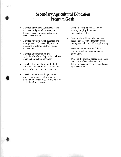# **Secondary Agricultural Education Program Goals**

- Develop agricultural competencies and the basic background knowledge to become successful in agriculture and related occupations.
- Develop entrepreneurial, business, and management skills needed by students preparing to enter agriculture related occupations.
- Develop an understanding of agriculture's relationship to the environment and our natural resources.
- Develop the students' ability to think critically, solve problems, and function effectively in a competitive society.
- Develop an understanding of career opportunities in agriculture and the preparation needed to select and enter an agricultural occupation.

•

- Develop career objectives and jobseeking, employability, and job-retention skills.
- Develop the ability to advance in an occupation through a program of continuing education and life-long learning.
- Develop communication skills and abilities which are essential in any occupation.
- Develop the abilities needed to exercise and follow effective leadership in fulfilling occupational, social, and civic responsibilities.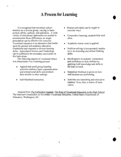# **A Process for Learning**

It is recognized that secondary school students are a diverse group, varying in background, ability, aptitude, and aspiration. A wide variety of educational approaches are needed to accommodate those differences; no single prescription can be effective for everyone. Vocational education is an alternative that builds upon the general and academic education foundations and responds to diverse learning styles. Agricultural Science and Technology can be justified in the secondary curriculum on this basis alone.

The following aspects of vocational education characterize it as a learning process:

- Applied and small-group learning activities reinforce basic communication and interpersonal skills and promote their transfer to other settings.
- Individualized instruction.
- • Abstract principles can be taught in concrete ways.
- Cooperative learning; students help each other.
- Academic course work is applied.
- Problem solving is incorporated; emphasis is on reasoning and critical thinking skills.
- Development of students' competence and confidence in their abilities by applying both knowledge and skills to the tasks at hand.
- Immediate feedback is given on how well students are performing.
- Activities are interesting and relevant to students' lives, thus, a source of motivation.

Adapted from The Unfinished Agenda: The Role of Vocational Education in the High School. The National Commission on Secondary Vocational Education, United States Department of Education, Washington, DC.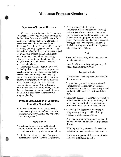# **Minimum Program Standards**

# **Overview of Present Situation:**

Current program standards for Agriculture Science and Technology have been approved by the State Board for Vocational Education. In recent years, alternate delivery systems have been developed and implemented in most Secondary Agricultural Science and Technology programs. Funding, legislation and the changing backgrounds of students entering agricultural programs have brought dramatic changes to most programs. Coupled with technology advances in agriculture and methods of instruction, the program standards are in need of revision and updating.

Instruction in Agricultural Science and Technology is moving toward a competencybased curriculum and is designed to meet the needs of each community. Secondary Agriculture instructors are continually striving to upgrade their teaching methods, instructional materials, and equipment. Instructors are showing increased interest in professional development and inservice activities; likewise, they are demonstrating an increased interest in the utilization of advisory committees for program planning.

# **Present State Division ofVocational Education Standards:**

\* *The items marked with an asterisk are basic*  components of an approved program. Pro*grams missing these components are considered nonapprovable.* 

#### Administration

- \* Vocational funding is administered and program fiscal records are maintained in accordance with state policies and guidelines.
- \* A budget exists for the vocational program and the instructor is involved with its development.

A plan, approved by the school administrator(s), is available for vocational instructor(s) whose contracts include time beyond the normal academic year. The plan is consistent with program philosophy and goals. The time beyond the normal academic year supported with vocational education funds has a program of work with emphasis on program improvement.

#### Staff

\* Vocational instructor(s) hold(s) current vocational credentials.

Vocational instructor(s) participate in professional development activities.

#### Program of Study

- \* Classes offered meet sequence of courses for the program area.
- \* CWTent state approved competency-based curriculum for the program area is used. Substantive curriculum changes are approved by the State Divislon of Vocational Education.
- \* A program advisory committee representative of business, labor, industry, minorities, and individuals in non-traditional occupations provides input for program improvement.
- \* Leadership development is integral to the program as generally provided through vocational student organizations.

A written program philosophy is compatible with the educational objectives of the school district.

Written program goals reflect the needs of community, business/industry, and students.

Curriculum supports reinforcement of basic skills and employability skills.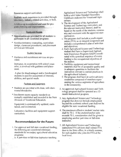Resources support curriculum.

Realistic work experience is provided through laboratory, industry-related activities, or both.

A follow-up is conducted and used for program planmng and improvement.

#### Equity and Access

- \* Opportunities are provided for all students to participate in all vocational programs.
- \* Nondiscriminatory counseling, curriculum design, classroom procedures, and placement services are followed.

#### Student Services

\* Guidance and recruitment services are provided.

Instructor, in cooperation with school counselor, is involved with guidance and placement.

A plan for disadvantaged and/or handicapped students is used for assessment of interests, abilities, and special needs.

#### Facilities and Equipment

- Students are provided with clean, safe classrooms/laboratories.
- \* Enrollment meets capacity standards as mutually established and recorded in the State Division of Vocational Education.

Equipment is systematically updated, maintained, and inventoried.

Laboratory facilities and equipment support curriculum.

### **Recommendations for the Future:**

- 1. For approval and full state vocational funding, the following are considered minimum standards for secondary agricultural education programs:
	- a. A part-time or full-time instructor teaching

Agricultural Science and Technology shall hold a valid Idaho Standard Secondary . Certificate endorsed for Vocational Agnculture.

- b. The development of the Agricultural Science and Technology curriculum, and the relevant instruction thereof, shall be based on the needs of the students, community and consistent with the approved state curriculum.
- c. The program shall include a youth organization (FFA) as an integral component and include a comprehensive plan of activities and objectives.
- d. Each Agricultural Science and Technology student shall have a Supervised Agricultural Experience Program (SAEP) coordinated with a practical sequence of events leading to the occupational objectives of the student.
- e. Facilities, equipment and instructional materials shall be of acceptable quality and in adequate quantities to facilitate the instruction relevant to current practices in the agricultural industry.
- f. The program shall have an active advisory committee composed of members representing the various segments of agriculture in the community.

t

- 2. An approved Agricultural Science and Technology program shall be operated as a 12 month instructional program.
- 3. Any Agricultural Science and Technology program that does not include employment beyond the academic school year shall not be eligible for state vocational funding.
- 4. The maximum effective student/ teacher ratio shall be 70: 1. If the student/teacher ratio exceeds 70: I, consideration shall be given to employing another part-time or full-time instructor.
- 5. All Agricultural Science and Technology instructors/FFA advisors shall submit FFA dues to the State office, in a timely manner, for each student who joins the FFA at the local level.

10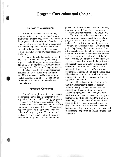# **Program Curriculum and Content**

### **Purpose of Curriculum:**

Agricultural Science and Technology programs strive to meet the needs of the communities and students they serve. The content of the program curriculum should reflect the needs of not only the local population but the agriculture industry in general. The content of the curriculum should change with advancement in technology and approved practices throughout the industry.

The curriculum shall consist of a core of approved courses which are systematically sequenced to build on previously learned competencies. Components of the FFA and Supervised Agriculture Experience Programs shall be considered as integral parts of the Agriculture program. A student completing a program should have entry-level skills in agricultural related occupations or be prepared to pursue further education at the post-secondary or university level.

## **Trends and Concerns:**

Through the implementation of the semester/trimester courses the enrollment in most Agricultural Science and Technology programs has increased. Although, the increase in program enrollment has been welcome, much of the traditional program (AG I, II, III, IV) continuity has been lost due to the open entry/open exit policies of many programs. The number of students enrolling in Agricultural Science and Technology programs have increased but the

percentage of those students becoming actively involved in the FFA and SAE programs has decreased drastically from 93% to about 50%.

The adoption of the new course structure in many programs has increased the diversity of program delivery. Current delivery systems include: 6 period, 7 period, and 8 period rollover days on the semester basis, along with the 5 period day through the trimester system. The differences between the delivery systems causes a variety of differences among the programs due to the constraints and/or flexibility of the individual system. In addition there are differences in instructor certification within the profession. All instructors are certificated in agricultural education. Some are certificated in natural science, biological science and/or consumer economics. These additional certifications have allowed some instructors to teach agriculture courses not available to those certified only in agricultural education.

All public schools are faced with the fact that they must meet the needs of "at risk" students. Many of these students have been directed into the Agricultural Science and Technology programs. This being the case, most instructors have had to do some program restructuring, which has caused the dilution of some integral components of the overall program content. To accommodate the needs of "at risk" students and those students not seeking baccalaureate degrees, some programs may need to incorporate the option of an Agricultural Tech Prep track.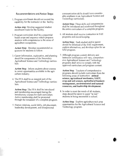### Recommendations and Action Steps:

1. Program emollment should not exceed the capability for the instructor or the facility.

Action step: Develop suggested student enrollment loads for the facility.

2. Program curriculum shall be a sequential based scope and sequence which prepares students with competencies in the areas of agriculture occupations.

Action Step: Develop recommended sequences for students to follow.

3. Career information, exploration, and planning should be components of the Secondary Agricultural Science and Technology curriculum.

Action Step: Inform students about courses in career opportunities available in the agriculture industry.

4. The FFA shall be an integral part of the Agricultural Science and Technology curriculum.

Action Step: The FFA shall be introduced and membership encouraged during the introductory courses for each curriculum. Active membership shall be promoted through the remainder of a complete program.

5. Human relations, social skills, job placement, leadership development, and interpersonal

communication skills should have considerable emphasis in an Agricultural Science and Technology curriculum.

Action Step: These skills and competencies shall be introduced and reinforced throughout the entire curriculum of a complete program.

6. All students shall receive instruction in SAE programs and record keeping.

Action Step: Each student and/or parent should be informed of the SAE requirement, explore alternatives, and develop a plan for an SAE program.

7. Although program content delivery and instructor certification will vary, comprehensive Agricultural Science and Technology programs shall strive to comply with the approved curriculum and program content.

Action Step: Teachers of comprehensive programs should include curriculum from the following areas of instruction: animal science, agricultural mechanics, SAEP, crop and soil science, agricultural business management, environmental and natural resources, and leadership development.

8. In order to meet the needs of all students steps should be taken to assist "at risk" students in being successful in school.

Action Step: Explore agriculture tech prep opportunities for the Agricultural Science and Technology program.

12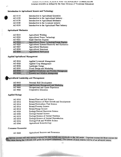#### Introduction to Agricultural Science and Technology

| AG 0110 | Introduction to Agricultural Education          |
|---------|-------------------------------------------------|
| AG 0120 | Introduction to the Agricultural Industry.      |
| AG 0130 | Introduction to Agricultural Mechanics          |
| AG 0140 | Introduction to the Livestock Industry          |
| AG 0150 | Introduction to the Agricultural Plant Industry |

#### Agricultural Mechanics

| AG 0210 | Agricultural Welding                            |
|---------|-------------------------------------------------|
| AG 0220 | Agricultural Power Technology                   |
| AG 0221 | Small Gasoline Engines                          |
| AG 0222 | Agricultural Power Technology/Large Engines     |
| AG 0225 | Agricultural Systems/Electricity and Hydraulics |
| AG 0227 | Agricultural Machinery                          |
| AG 0230 | <b>Agricultural Structures</b>                  |
| AG 0240 | <b>Agricultural Fabrication</b>                 |

#### Applied Agricultural Management

| AG 0310            | Applied Livestock Management                                                  |
|--------------------|-------------------------------------------------------------------------------|
| AG 0320            | Applied Crop Management                                                       |
| AG 0330            | Landscape Design                                                              |
| AG 0335            | Floral Design and Marketing                                                   |
| AG 0340<br>AG 0350 | Applied Greenhouse and Nursery Management<br>Forestry and Wildlife Management |

#### Agricultural Leadership and Management

| AG 0410 | Personal Skill Development            |
|---------|---------------------------------------|
| AG 0460 | Agribusiness Management and Marketing |
| AG 9800 | Occupational and Career Experience    |
| AG 9900 | Cooperative Education                 |

#### Applied Biology

| AG 0510 | Botany/Plant and Soil Science                  |
|---------|------------------------------------------------|
| AG 0512 | Botany/Science of Plant Growth and Development |
| AG 0514 | Botany/Horticulture Plant Science              |
| AG 0516 | Botany/Forestry Science                        |
| AG 0518 | Botany/Range Science                           |
| AG 0520 | Ecology/Natural Resources Science              |
| AG 0530 | Zoology/Animal Science                         |
| AG 0532 | Zoology/Science of Animal Nutrition            |
| AG 0534 | Zoology/Science of Animal Reproduction         |
| AG 0536 | Zoology/Fish and Wildlife Science              |
| AG 0540 | Agricultural Biotechnology                     |

#### Consumer Economics

AG 0660 Agricultural Business and Economics

Fapstone courses will vary among programs but may include any course above the 100 series. Capstone courses are those courses that Le taken during the 11th and 12th grade by program completers. The content of such courses will be of an advanced nature.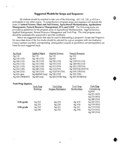# **Suggested Models for Scope and Sequence:**

All students should be required to take one of the following: AG 110, 120, or 410 as a prerequisite to any other course. A comprehensive program scope and sequence will include the areas of Animal Science, Plant and Soil Science, Agricultural Mechanization, Agribusiness Management, Natural Resource Management, FFA and SAEP. The following tracks are provided as guidelines for the program areas of Agricultural Mechanization, Applied Science, Applied Management, Natural Resource Management and Tech Prep. The total program scope should be systematically sequenced to provide continuity.

Below are suggested tracks that may be used in determining a program's Scope and Sequence. No more than three of the five tracks should be selected for a given program with one instructor. Course numbers and their corresponding prerequisites (courses in parenthesis are prerequisites) are listed for each suggested track.

| Ag Mech          | <b>Applied Mgmt</b> | <b>Applied Science</b> | <b>Natural Resource</b> |
|------------------|---------------------|------------------------|-------------------------|
| Ag $110$         | Ag $110$            | Ag $110$               | Ag $110$                |
| Ag $130(110)$    | Ag 140 (110)        | Ag410                  | Ag $410$                |
| Ag $140(110)$    | Ag 150 (110)        | Ag $530(110)$          | Ag 150/510 (110)        |
| Ag $150(110)$    | Ag 310 (140)        | Ag $510(110)$          | Ag 140/530 (110)        |
| Ag 221 (110)     | Ag 320 (150)        | Ag 512 (510)           | Ag 520 (150/510)        |
| Ag 210(130)      | Ag 340 (150)        | Ag $514(510)$          | Ag 350/516(150/510)     |
| Ag 240 (210)     | Ag $350(110)$       | Ag 532/534 (530)       | Ag 518 (150/510)        |
| $Ag$ 410 open    | Ag $460/660$ (seq)  | Ag 536 (530)           | Ag 536 (530)            |
| Ag 420 (240&410) | Ag $420$ (seq)      | Ag 420 (410& Seq)      | $Ag$ 420 (410 & Seq)    |

#### **Tech Prep Options**

|            | Tech Prep | Tech Prep        | Tech Prep    | Tech Prep    |
|------------|-----------|------------------|--------------|--------------|
|            | Welding   | Engine Mechanics | Horticulture | General Ag   |
|            |           |                  |              | Ag 410       |
|            |           |                  |              | Ag 221 (410) |
|            |           |                  |              | Ag 210 (410) |
|            |           |                  |              | Ag 240 (210) |
| 11th grade | Ag $410$  | Ag $410$         | Ag $410$     | Ag 222 (221) |
|            | Ag $220$  | Ag $220$         | Ag 150       | Ag 510 (410) |
| 12th grade | Ag 210    | Ag 221           | Ag 221       | Ag 512 (510) |
|            | Ag 240    | Ag 222           | Ag 340       | Ag 514 (512) |
|            |           |                  |              | Ag 340 (514) |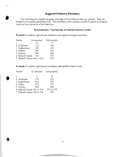# **Suggested Delivery Schedules:**

The following are example program schedules for the different delivery systems. They are intended to be used as guidelines only. The flexibility of the schedule should be based on program needs and the discretion of the instructor.

# **Semesterized - 7 period day or 8 period rollover model**

**Example 1** combines agricultural mechanics and applied management tracks

| Period                       | 1st semester | 2nd semester |
|------------------------------|--------------|--------------|
|                              | X            | X            |
| 2 Freshman                   | 110          | 140          |
| 3 Sophomores                 | 150          | 130          |
| 4 Juniors                    | 221          | 210          |
| 5 Seniors                    | 240          | 460          |
| 6 Related Courses            | 310          | 320          |
| 7 Related Courses 340 or 350 |              | 410          |

**Example 2** combines agricultural mechanics and applied science tracks

| Period                       | 1st semester | 2nd semester |
|------------------------------|--------------|--------------|
|                              | X            | X            |
| 2 Freshman                   | 110          | 130          |
| 3 Sophomores                 | 510          | 530          |
| 4 Junior                     | 221          | 210          |
| 5 Seniors                    | 240          | 460          |
| 6 Related Courses 532 or 534 |              | 512 or 514   |
| 7 Related Courses 536 or 514 |              | 410          |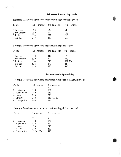### **Trimester 5 period day model**

Period 1st Trimester 2nd Trimester 3rd Trimester 1 Freshman 120 140 340 2 Sophomores 150 320 310 3 Juniors 130 221 210 4 Seniors 240 230 660

**Example 1** combines agricultural mechanics and applied management

 $e^x - x$ 

**Example** 2 combines agricultural mechanics and applied science

| Period       | 1st Trimester | 2nd Trimester 3rd Trimester |         |
|--------------|---------------|-----------------------------|---------|
| 1 Freshman   | 110           | 410                         | 130     |
| 2 Sophomores | 530           | 221                         | 510     |
| 3 Juniors    | 514           | 210                         | 532/534 |
| 4 Seniors    | 536           | 240                         | 240     |
| 5 Optional   | 420           | 420                         | 420     |

#### **Semesterized . 6 period day**

**Example 1** combines agricultural mechanics and applied management tracks

| Period |                | 1st semester | 2nd semester |
|--------|----------------|--------------|--------------|
|        |                | X            | X            |
|        | 2 Freshman     | 110          | 130          |
|        | 3 Sophomores   | 140          | 150          |
|        | 4 Juniors      | 210          | 221          |
|        | 5 Seniors      | 240          | 310 or 320   |
|        | 6 Prerequisite | 460          | 410          |

**Example** 2 combines agricultural mechanics and applied science tracks

| Period                                                                | 1st semester                                | 2nd semester                         |
|-----------------------------------------------------------------------|---------------------------------------------|--------------------------------------|
| 2 Freshman<br>3 Sophomore<br>4 Juniors<br>5 Seniors<br>6 Prerequisite | X<br>110<br>510<br>536<br>240<br>532 or 534 | X<br>130<br>530<br>210<br>460<br>410 |
|                                                                       |                                             |                                      |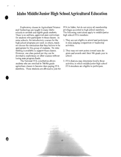# **Idaho Middle/Junior High School Agricultural Education**

Exploratory classes in Agricultural Science and Technology are taught in many Idaho schools to seventh and eighth grade students. There is no uniform, approved state curriculum for students who participate in these classes. In some schools, the introductory courses for the high school programs are used; in others, teachers choose the curriculum that they believe to be appropriate for this group of students. No state funding is available to support these classes. However, one class period per day can be devoted to exploratory or other courses without losing state program funds.

The National FFA constitution allows students who are enrolled in 7th/8th grade agriculture classes to become dues paying FFA members. These students are allowed to join the

,

FFA in Idaho, but do not enjoy all membership privileges accorded to high school members. The following restrictions apply to middle/junior high school FFA members:

- 1. They are not eligible to attend and participate in state judging competition or leadership activities.
- 2. They may not earn points toward state degrees and awards until their 9th grade year in school.
- 3. FFA districts may determine locally those activities in which middle/junior high school FFA members are eligible to participate.

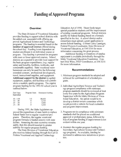# **Funding ofApproved Programs**

#### **Overview:**

The State Division of Vocational Education provides funding to support school districts with the added cost associated \vith offering approved Agricultural Science and Technology programs. The funding is awarded based on the **number of approved courses** offered during the school day. Funding is not dependent on student enrollment in an individual course or program. This funding is prorated for programs with more or fewer approved courses. School districts are expected to provide local support for the basic program expenditures, (e.g. regular salary and benefits, facilities, textbooks, and consumable supplies). State vocational reimbursement can only be used for the following: extended contract, professional development, travel, instructional supplies, and equipment. **Additional support by the district** to update

equipment, supplies, and facilities will contribute to a modern, quality program. The regular program funding for the 1991-92 school year is outlined below:

| Full-Time<br>Equivalent | Program Units | Estimated Funding |
|-------------------------|---------------|-------------------|
| $.81 - 1.00$            | 1.0           | \$8,400           |
| $.61 - .80$             | .8            | 6,720             |
| $.41 - .60$             | .6            | 5,040             |
| $.21 - .40$             | .4            | 3,360             |

During 1991, the Idaho legislature approved the expenditure of state funds to replace federal funds lost to regular vocational programs. Therefore, the regular vocational program formula is funded entirely with state dollars. Assuming the state economy remains stable, then this should translate to greater stability for regular program funding.

The State Division of Vocational Education also receives federal funding through the Carl D. Perkins Vocational and Applied Technology

Education Act of 1990. These funds target special population students and the improvement of existing vocational programs. School districts qualify for federal ftmding based on a formula specified in the Act. A school district and/or consortium must submit a grant application to access federal funding. Contact Larry Lannigan, Federal Projects Coordinator, State Division of Vocational Education, at 334-3216 for more information concerning the grant process.

Additional funding or donations of surplus equipment is available periodica1ly through the Idaho Vocational Education Foundation. Contact Dick Winn, IVEF Coordinator, at 334-3216 for more information.

#### **Recommendations:**

- 1. Minimum program standards be adopted and enforced for continuation of a funded program.
- 2. Individual Agricultural Science and Technology program compliance \vith minimum program standards should be reviewed at least every five years by the Agriculture Program Supervisor with the Idaho Division of Vocational Education. An option would be to develop a district review committee which would provide a vehicle for local evaluation and program improvement.
- 3. Programs not in compliance \vith minimum standards shall be placed on conditional approval or probationary status, fo1lowed by loss of program funding if improvement is not evident within one year.
- 4. Maintain the regular program funding for Secondary Agricultural Science and Technology programs. As available, funding be increased to address new initiatives or priorities.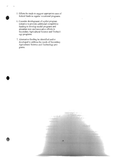5. Efforts be made to suggest appropriate uses of federal funds in regular vocational programs.

f

•

- 6. Consider development of a pilot program initiative to provide additional competitive funding to develop model programs and stimulate new and innovative efforts in Secondary Agricultural Science and Technology programs.
- 7. Alternative funding be identified and/or developed to address the needs of Secondary Agricultural Science and Technology programs.

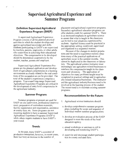# **Supervised Agricultural Experience and Summer Programs**

# **Definition: Supervised Agricultural Experience Program (SAEP)**

×.

A supervised Agricultural Experience Program consists of all the planned practical activities in which the student develops and applies agricultural knowledge and skills. . Students participating in SAEP's are supervised by teachers, parents, employers, or other adults who assist them in achieving their educational objectives. The competencies to be developed should be determined cooperatively by the student, teacher, parents and employer.

Supervised Agricultural Experience Programs are the planned application and development of agricultural competencies in a learning environment as closely related to the real conditions of the occupation as can be provided. The total of the student's experiences comprise a program. Year-round long-range Supervised Agricultural Experience Programs are critical in the development of entry level competencies in the agricultural industry.

#### **Summer Program:**

Summer programs at present are used for SAEP on-site supervision, professional improvement, preparation of curriculum materials, facility maintenance and organization, assistance at county fairs, etc. Some programs are not. requiring students to have a summer Supervised Agricultural Experience Programs (SAEP's) while others require students to have SAEP's year-round.

#### **Trends:**

In the past, many SAEP's consisted of production enterprises; however, in recent years, there has been an increase in the number of

placement and agricultural experience programs. Secondary agricultural education programs can offer students credit for summer SAEP's. There is an increased emphasis in agriculture science to ensure that what is taught in the classroom can be tied to real situations experienced by students. Applied Science must be practiced in the appropriate setting; reinforced, supervised and organized in a sequential manner.

Because of the changes in student populations and the need to experience realistic situations many of the practical applications of . agriculture occur in the summer months. This cannot be duplicated in the classroom or laboratory. The agricultural science instructor must increasingly use agriculture related businesses to reinforce the competencies taught in the classroom and laboratory. The application of objectives for many problems taught must be completed in practical settings and in agriculturally related industries/businesses. The instructor and the agricultural industry/business need to be involved in the learning process of the student. The recent trend is to maintain existing summer programs.

### **Recommendations for the Future:**

- 1. Agricultural science'instructors should:
- a. develop comprehensive summer program plans including the scope and sequence of individual student summer program plans.
- b. develop an evaluation process of the SAEP designed to meet the needs of the local education agency.
- c. attend workshops or seminars to aid in developing and monitoring SAEP's.
- d. supervise and encourage student participation in county and state fairs.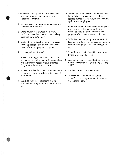- e. cooperate with agricultural agencies, industries, and business in planning summer educational programs. .
- f. conduct leadership training for students and supervise FFA activities.
- g. attend educational courses, field days, conferences and inservice activities to keep pace with new technology.
- h. use the Summer Weekly Report Forms and keep administration and other school staff aware of summer program progress.
- i. be employed for 12 months.

•

- 2. Students meeting established criteria should be granted high school credit for completion of a Supervised Agricultural Experience Program for the summer months.
- a. Students enrolled in SAEP's should have the opportunity to develop skills in the areas of their interest.
- b. Supervision of these programs is to be provided by the agricultural science instructor.
- c. Definite goals and learning objectives shall be established by students, agricultural science instructors, parents, and cooperating agribusiness employers.
- d. In cooperation with parents and/or cooperating employers, the agricultural science instructor shall monitor and record the progress of the student toward objectives.
- e. Individualized and group instruction shall take place on farms, in agribusiness firms, in group meetings, on tours, and during field days.
- f. Guidelines for credit should be establishedby the local school district.
- 3. Agricultural science should reflect instruction in those areas that are beneficial to the SAEP.
- 4. Review current SAEP record book.
- 5. Alternative SAEP activities should be identified that are appropriate for science based instruction.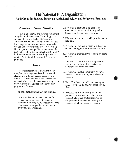# **The National FFA Organization**  Youth Group for Students Enrolled in Agricultural Science and Technology Programs

### **Overview of Present Situation:**

FFA is an essential and integral component of Agricultural Science and Technology programs in the state of Idaho. It is an intracurricular instructional strategy used to develop leadership, community awareness, responsibility, and a cooperative work ethic. FFA is a vehicle for positive competitive interaction in the personal growth of the individual member. FFA is also an effective tool in recruiting students into the Agricultural Science and Technology programs.

### **Trends:**

Total membership has stabilized in the state, but percentage membership compared to classroom enrollment has decreased significantly. This is due in part to the semesterized open entry/open exit delivery system adopted by many Agricultural Science and Technology programs in the state.

### **Recommendations for the Future:**

1. FFA should continue to be a vehicle for personal growth in areas of leadership, community responsibility, cooperative work ethic, positive competitive interaction, and environmental awareness.

- 2. FFA should continue to be used as an effective recruitment tool for Agricultural Science and Technology programs.
- 3. FFA activities should provide positive public relations.
- 4. FFA should continue to recognize deserving students through the FFA awards program.
- 5. FFA should emphasize the learning by doing concept.
- 6. FFA should continue to encourage participation in relevant local, district, state, and national activities and contests.
- 7. FFA should involve community resource persons--parents, alumni, etc.--whenever practical.
- 8. Each FFA chapter should have a comprehensive written plan of activities and objectives.
- 9. Increased FFA membership should be promoted by statewide recruitment programs. State award programs should be designed and implemented to recognize chapters which increase membership.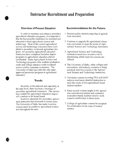# **Instructor Recruitment and Preparation**

### **Overview of Present Situation:**

In order to maintain and enhance secondary agricultural education programs, it is imperati ve that the best possible candidates be recruited and educated to teach agricultural science and technology. Most of the current agricultural science and technology instructors have completed a secondary vocational agriculture program. All secondary agricultural education instructors have completed bachelor degree programs in agricultural education and are certificated. Some Agricultural Science and Technology programs offer students graduation credit and college entrance credit in natural science and/or consumer economics. The University of Idaho provides the only stateapproved preservice program in agricultural education.

### **Trends:**

•

Recently, at the national and especially at the state level, there has been a shortage of secondary agricultural instructors. The curriculum content for agricultural education majors will continue to be broad based.

Inservice education for secondary agricultural instructors has increased in recent years. The University of Idaho has made inservice courses more accessible to agricultural instructors throughout the state.

#### **Recommendations for the Future:**

- 1. Recruit quality students majoring in agricultural education.
- 2. Continue to upgrade the agricultural education curriculum to meet the needs of Agricultural Science and Technology instructors.
- 3. Agricultural Science and Technology instructors must have an active role in determining which inservice courses are offered.
- 4. The University of Idaho, other colleges and universities, and industry continue to bring practical inservice courses to the Agricultural Science and Technology instructors.
- 5. University courses covering FFA and SAEP subjects need more detailed instruction to meet the needs of non-agricultural based student teachers.
- 6. Since several courses taught in the agriculture curricula are science and consumer economics based, teachers need to work towards certification in these areas.
- 7. College of agriculture courses be accepted for certification in the areas of natural science.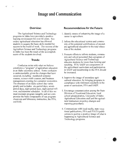# **Image and Communication**

### **Overview:**

>

The Agricultural Science and Technology programs in Idaho have provided a positive learning environment for over 60 years. Secondary agricultural education has allowed students to acquire the basic skills needed for success in the world of work. The success of the Agriculture Science and Technology programs in Idaho has been the result of the accompIishments of the students involved.

#### **Trends:**

Confusion exists with what we believe constitutes a "program" of agriculture education in an Idaho secondary school. Some confusion is understandable, given the changes that have occurred, including: numbered semester courses, science credit courses, and business management counting for consumer economics. The structure of an Idaho school day varies greatly and includes: six-period days, sevenperiod days, eight-period days, eight-period rollover, and trimester schedules. In all of this we must maintain program integrity and not compromise the basic components of our program: classroom and laboratory instruction, the FFA, and SAE.

### **Recommendations for the Future:**

- 1. Identify means of enhancing the image of a career in agriculture.
- 2. Inform the educational system and community of the potential contributions of secondary agricultural education to the total education of the student.
- 3. Promote efforts to inform students, community and school personnel that a program of Agricultural Science and Technology educates students for more than farming and ranching. FFA/ SAEP are components of the agricultural curriculum and participation in SAEP and membership in the FFA shouldbe increased.
- 4. Improve the image of secondary agricultural education, by bringing programs in compliance with minimum standards in the areas of curriculum, FFA and SAEP.
- 5. Encourage communication among the State Division of Vocational Education, local school administration, University of Idaho Agricultural Education staff and the agricultural instructors on policy changes and reporting procedures.
- 6. Communicate with local media, state vocational publications, FFA and IVATA publications to portray a positive image of what is happening in Agricultural Science and Technology programs.